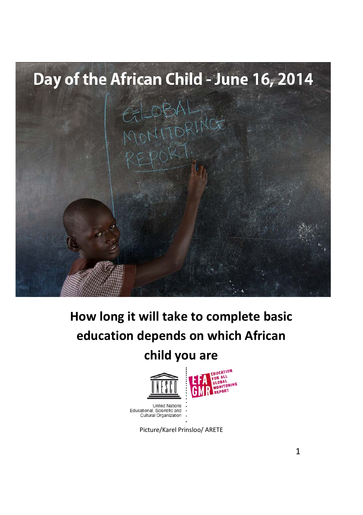

# **How long it will take to complete basic education depends on which African**

# **child you are**



Educational, Scientific and Cultural Organization

Picture/Karel Prinsloo/ ARETE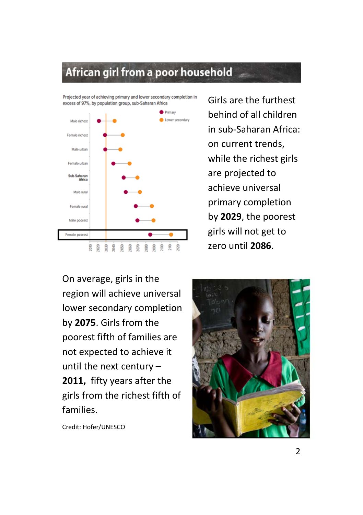### African girl from a poor household



Girls are the furthest behind of all children in sub-Saharan Africa: on current trends, while the richest girls are projected to achieve universal primary completion by **2029**, the poorest girls will not get to zero until **2086**.

On average, girls in the region will achieve universal lower secondary completion by **2075**. Girls from the poorest fifth of families are not expected to achieve it until the next century – **2011,** fifty years after the girls from the richest fifth of families.

Credit: Hofer/UNESCO

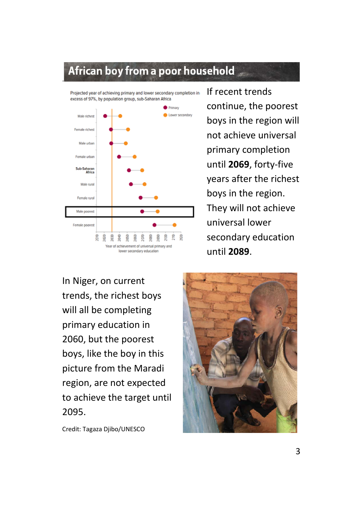#### African boy from a poor household

Projected year of achieving primary and lower secondary completion in excess of 97%, by population group, sub-Saharan Africa

.



If recent trends continue, the poorest boys in the region will not achieve universal primary completion until **2069**, forty-five years after the richest boys in the region. They will not achieve universal lower secondary education until **2089**.

In Niger, on current trends, the richest boys will all be completing primary education in 2060, but the poorest boys, like the boy in this picture from the Maradi region, are not expected to achieve the target until 2095.

Credit: Tagaza Djibo/UNESCO

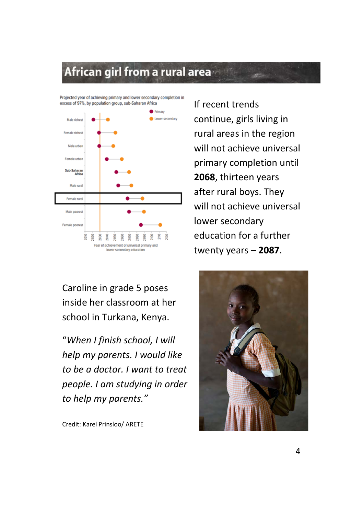# African girl from a rural area

Projected year of achieving primary and lower secondary completion in excess of 97%, by population group, sub-Saharan Africa



Caroline in grade 5 poses inside her classroom at her school in Turkana, Kenya.

"*When I finish school, I will help my parents. I would like to be a doctor. I want to treat people. I am studying in order to help my parents."*

Credit: Karel Prinsloo/ ARETE

If recent trends continue, girls living in rural areas in the region will not achieve universal primary completion until **2068**, thirteen years after rural boys. They will not achieve universal lower secondary education for a further twenty years – **2087**.

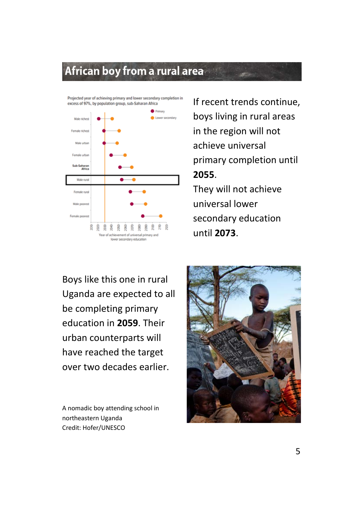### African boy from a rural area



If recent trends continue, boys living in rural areas in the region will not achieve universal primary completion until **2055**.

They will not achieve universal lower secondary education until **2073**.

Boys like this one in rural Uganda are expected to all be completing primary education in **2059**. Their urban counterparts will have reached the target over two decades earlier.

A nomadic boy attending school in northeastern Uganda Credit: Hofer/UNESCO

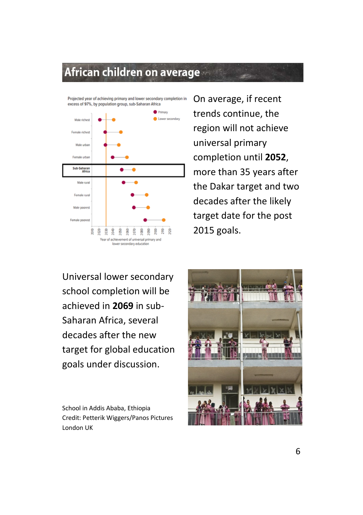#### African children on average



On average, if recent trends continue, the region will not achieve universal primary completion until **2052**, more than 35 years after the Dakar target and two decades after the likely target date for the post 2015 goals.

Universal lower secondary school completion will be achieved in **2069** in sub-Saharan Africa, several decades after the new target for global education goals under discussion.

School in Addis Ababa, Ethiopia Credit: Petterik Wiggers/Panos Pictures London UK

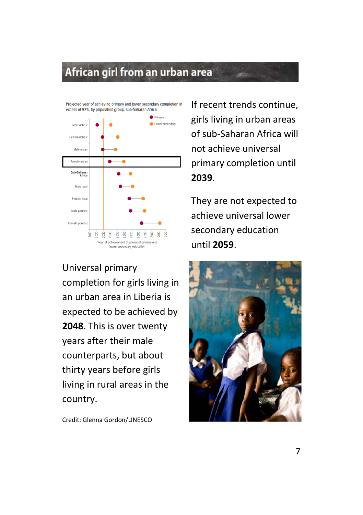#### African girl from an urban area



Universal primary completion for girls living in an urban area in Liberia is expected to be achieved by **2048**. This is over twenty years after their male counterparts, but about thirty years before girls living in rural areas in the country.

Credit: Glenna Gordon/UNESCO

If recent trends continue, girls living in urban areas of sub-Saharan Africa will not achieve universal primary completion until **2039**.

They are not expected to achieve universal lower secondary education until **2059**.

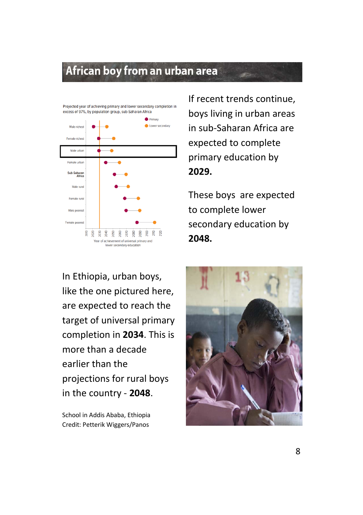#### African boy from an urban area



If recent trends continue, boys living in urban areas in sub-Saharan Africa are expected to complete primary education by **2029.**

These boys are expected to complete lower secondary education by **2048.**

In Ethiopia, urban boys, like the one pictured here, are expected to reach the target of universal primary completion in **2034**. This is more than a decade earlier than the projections for rural boys in the country - **2048**.

School in Addis Ababa, Ethiopia Credit: Petterik Wiggers/Panos

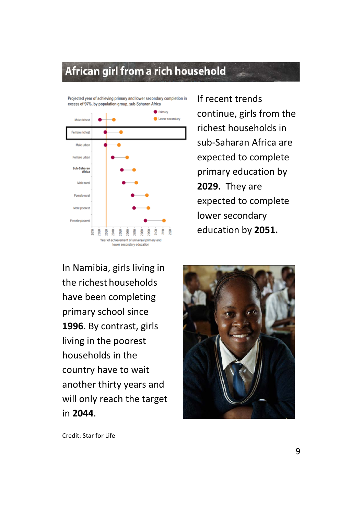#### African girl from a rich household



If recent trends continue, girls from the richest households in sub-Saharan Africa are expected to complete primary education by **2029.** They are expected to complete lower secondary education by **2051.**

In Namibia, girls living in the richest households have been completing primary school since **1996**. By contrast, girls living in the poorest households in the country have to wait another thirty years and will only reach the target in **2044**.



Credit: Star for Life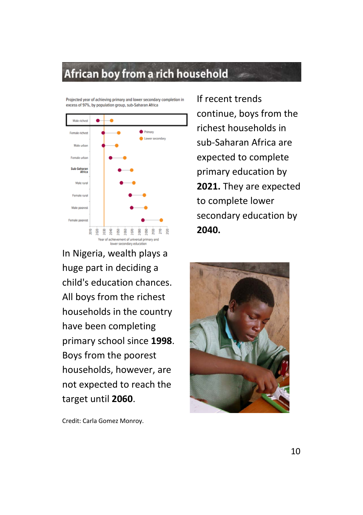# African boy from a rich household

Projected year of achieving primary and lower secondary completion in excess of 97%, by population group, sub-Saharan Africa



In Nigeria, wealth plays a huge part in deciding a child's education chances. All boys from the richest households in the country have been completing primary school since **1998**. Boys from the poorest households, however, are not expected to reach the target until **2060**.

If recent trends continue, boys from the richest households in sub-Saharan Africa are expected to complete primary education by **2021.** They are expected to complete lower secondary education by **2040.**



Credit: Carla Gomez Monroy.